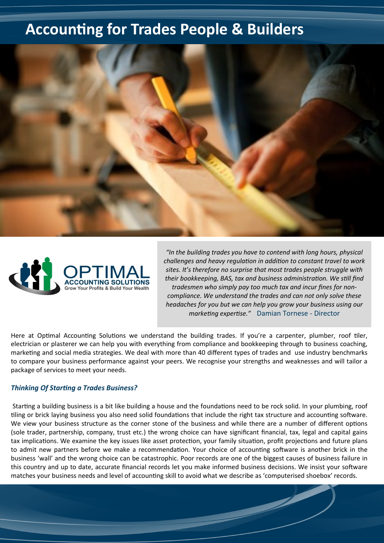## **Accounting for Trades People & Builders**





*"In the building trades you have to contend with long hours, physical challenges and heavy regulation in addition to constant travel to work sites. It's therefore no surprise that most trades people struggle with their bookkeeping, BAS, tax and business administration. We still find tradesmen who simply pay too much tax and incur fines for noncompliance. We understand the trades and can not only solve these headaches for you but we can help you grow your business using our marketing expertise."* Damian Tornese - Director

Here at Optimal Accounting Solutions we understand the building trades. If you're a carpenter, plumber, roof tiler, electrician or plasterer we can help you with everything from compliance and bookkeeping through to business coaching, marketing and social media strategies. We deal with more than 40 different types of trades and use industry benchmarks to compare your business performance against your peers. We recognise your strengths and weaknesses and will tailor a package of services to meet your needs.

## *Thinking Of Starting a Trades Business?*

Starting a building business is a bit like building a house and the foundations need to be rock solid. In your plumbing, roof tiling or brick laying business you also need solid foundations that include the right tax structure and accounting software. We view your business structure as the corner stone of the business and while there are a number of different options (sole trader, partnership, company, trust etc.) the wrong choice can have significant financial, tax, legal and capital gains tax implications. We examine the key issues like asset protection, your family situation, profit projections and future plans to admit new partners before we make a recommendation. Your choice of accounting software is another brick in the business 'wall' and the wrong choice can be catastrophic. Poor records are one of the biggest causes of business failure in this country and up to date, accurate financial records let you make informed business decisions. We insist your software matches your business needs and level of accounting skill to avoid what we describe as 'computerised shoebox' records.